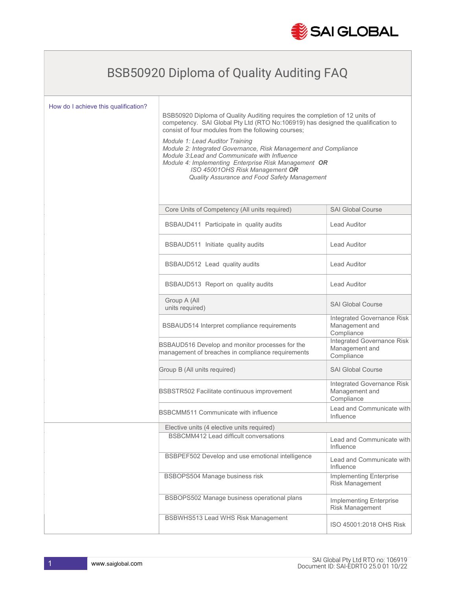

## BSB50920 Diploma of Quality Auditing FAQ

| How do I achieve this qualification? | BSB50920 Diploma of Quality Auditing requires the completion of 12 units of<br>competency. SAI Global Pty Ltd (RTO No:106919) has designed the qualification to<br>consist of four modules from the following courses;<br>Module 1: Lead Auditor Training<br>Module 2: Integrated Governance, Risk Management and Compliance<br>Module 3: Lead and Communicate with Influence<br>Module 4: Implementing Enterprise Risk Management OR<br>ISO 45001OHS Risk Management OR<br>Quality Assurance and Food Safety Management |                                                            |
|--------------------------------------|--------------------------------------------------------------------------------------------------------------------------------------------------------------------------------------------------------------------------------------------------------------------------------------------------------------------------------------------------------------------------------------------------------------------------------------------------------------------------------------------------------------------------|------------------------------------------------------------|
|                                      | Core Units of Competency (All units required)                                                                                                                                                                                                                                                                                                                                                                                                                                                                            | <b>SAI Global Course</b>                                   |
|                                      | BSBAUD411 Participate in quality audits                                                                                                                                                                                                                                                                                                                                                                                                                                                                                  | <b>Lead Auditor</b>                                        |
|                                      | BSBAUD511 Initiate quality audits                                                                                                                                                                                                                                                                                                                                                                                                                                                                                        | <b>Lead Auditor</b>                                        |
|                                      | BSBAUD512 Lead quality audits                                                                                                                                                                                                                                                                                                                                                                                                                                                                                            | Lead Auditor                                               |
|                                      | BSBAUD513 Report on quality audits                                                                                                                                                                                                                                                                                                                                                                                                                                                                                       | <b>Lead Auditor</b>                                        |
|                                      | Group A (All<br>units required)                                                                                                                                                                                                                                                                                                                                                                                                                                                                                          | <b>SAI Global Course</b>                                   |
|                                      | BSBAUD514 Interpret compliance requirements                                                                                                                                                                                                                                                                                                                                                                                                                                                                              | Integrated Governance Risk<br>Management and<br>Compliance |
|                                      | BSBAUD516 Develop and monitor processes for the<br>management of breaches in compliance requirements                                                                                                                                                                                                                                                                                                                                                                                                                     | Integrated Governance Risk<br>Management and<br>Compliance |
|                                      | Group B (All units required)                                                                                                                                                                                                                                                                                                                                                                                                                                                                                             | <b>SAI Global Course</b>                                   |
|                                      | BSBSTR502 Facilitate continuous improvement                                                                                                                                                                                                                                                                                                                                                                                                                                                                              | Integrated Governance Risk<br>Management and<br>Compliance |
|                                      | BSBCMM511 Communicate with influence                                                                                                                                                                                                                                                                                                                                                                                                                                                                                     | Lead and Communicate with<br>Influence                     |
|                                      | Elective units (4 elective units required)                                                                                                                                                                                                                                                                                                                                                                                                                                                                               |                                                            |
|                                      | BSBCMM412 Lead difficult conversations                                                                                                                                                                                                                                                                                                                                                                                                                                                                                   | Lead and Communicate with<br>Influence                     |
|                                      | BSBPEF502 Develop and use emotional intelligence                                                                                                                                                                                                                                                                                                                                                                                                                                                                         | Lead and Communicate with<br>Influence                     |
|                                      | BSBOPS504 Manage business risk                                                                                                                                                                                                                                                                                                                                                                                                                                                                                           | Implementing Enterprise<br>Risk Management                 |
|                                      | BSBOPS502 Manage business operational plans                                                                                                                                                                                                                                                                                                                                                                                                                                                                              | Implementing Enterprise<br>Risk Management                 |
|                                      | <b>BSBWHS513 Lead WHS Risk Management</b>                                                                                                                                                                                                                                                                                                                                                                                                                                                                                | ISO 45001:2018 OHS Risk                                    |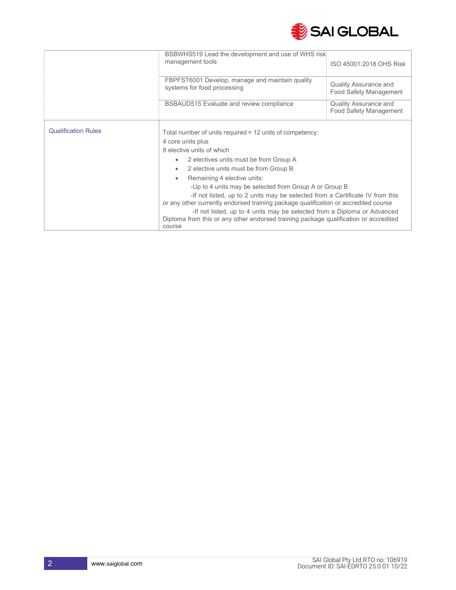

|                            | BSBWHS519 Lead the development and use of WHS risk                                                                                                                                                                                                                                                                                                                                                                                                                                                                                                                                                                                           |                                                        |
|----------------------------|----------------------------------------------------------------------------------------------------------------------------------------------------------------------------------------------------------------------------------------------------------------------------------------------------------------------------------------------------------------------------------------------------------------------------------------------------------------------------------------------------------------------------------------------------------------------------------------------------------------------------------------------|--------------------------------------------------------|
|                            | management tools                                                                                                                                                                                                                                                                                                                                                                                                                                                                                                                                                                                                                             | ISO 45001:2018 OHS Risk                                |
|                            | FBPFST6001 Develop, manage and maintain quality<br>systems for food processing                                                                                                                                                                                                                                                                                                                                                                                                                                                                                                                                                               | <b>Quality Assurance and</b><br>Food Safety Management |
|                            | BSBAUD515 Evaluate and review compliance                                                                                                                                                                                                                                                                                                                                                                                                                                                                                                                                                                                                     | Quality Assurance and<br>Food Safety Management        |
| <b>Qualification Rules</b> | Total number of units required = 12 units of competency:<br>4 core units plus<br>8 elective units of which<br>2 electives units must be from Group A<br>2 elective units must be from Group B<br>Remaining 4 elective units:<br>-Up to 4 units may be selected from Group A or Group B<br>-If not listed, up to 2 units may be selected from a Certificate IV from this<br>or any other currently endorsed training package qualification or accredited course<br>-If not listed, up to 4 units may be selected from a Diploma or Advanced<br>Diploma from this or any other endorsed training package qualification or accredited<br>course |                                                        |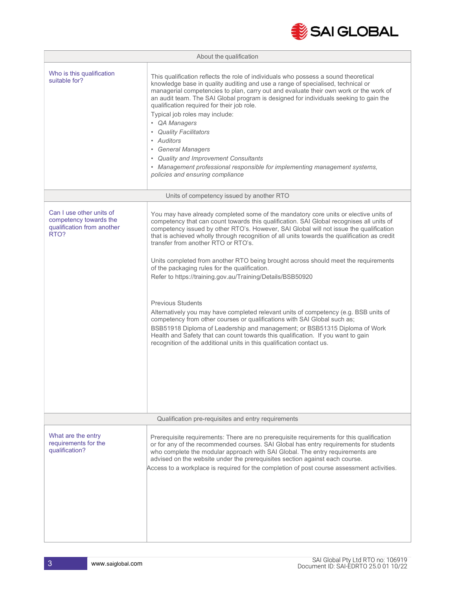

|                                                                                          | About the qualification                                                                                                                                                                                                                                                                                                                                                                                                                                                                                                                                                                                                                                                                                                                                                                                                                                                                                                                                                                                                                                           |
|------------------------------------------------------------------------------------------|-------------------------------------------------------------------------------------------------------------------------------------------------------------------------------------------------------------------------------------------------------------------------------------------------------------------------------------------------------------------------------------------------------------------------------------------------------------------------------------------------------------------------------------------------------------------------------------------------------------------------------------------------------------------------------------------------------------------------------------------------------------------------------------------------------------------------------------------------------------------------------------------------------------------------------------------------------------------------------------------------------------------------------------------------------------------|
| Who is this qualification<br>suitable for?                                               | This qualification reflects the role of individuals who possess a sound theoretical<br>knowledge base in quality auditing and use a range of specialised, technical or<br>managerial competencies to plan, carry out and evaluate their own work or the work of<br>an audit team. The SAI Global program is designed for individuals seeking to gain the<br>qualification required for their job role.<br>Typical job roles may include:<br>• QA Managers<br>• Quality Facilitators<br>• Auditors<br>• General Managers<br>• Quality and Improvement Consultants<br>• Management professional responsible for implementing management systems,<br>policies and ensuring compliance                                                                                                                                                                                                                                                                                                                                                                                |
|                                                                                          | Units of competency issued by another RTO                                                                                                                                                                                                                                                                                                                                                                                                                                                                                                                                                                                                                                                                                                                                                                                                                                                                                                                                                                                                                         |
| Can I use other units of<br>competency towards the<br>qualification from another<br>RTO? | You may have already completed some of the mandatory core units or elective units of<br>competency that can count towards this qualification. SAI Global recognises all units of<br>competency issued by other RTO's. However, SAI Global will not issue the qualification<br>that is achieved wholly through recognition of all units towards the qualification as credit<br>transfer from another RTO or RTO's.<br>Units completed from another RTO being brought across should meet the requirements<br>of the packaging rules for the qualification.<br>Refer to https://training.gov.au/Training/Details/BSB50920<br><b>Previous Students</b><br>Alternatively you may have completed relevant units of competency (e.g. BSB units of<br>competency from other courses or qualifications with SAI Global such as;<br>BSB51918 Diploma of Leadership and management; or BSB51315 Diploma of Work<br>Health and Safety that can count towards this qualification. If you want to gain<br>recognition of the additional units in this qualification contact us. |
|                                                                                          | Qualification pre-requisites and entry requirements                                                                                                                                                                                                                                                                                                                                                                                                                                                                                                                                                                                                                                                                                                                                                                                                                                                                                                                                                                                                               |
| What are the entry<br>requirements for the<br>qualification?                             | Prerequisite requirements: There are no prerequisite requirements for this qualification<br>or for any of the recommended courses. SAI Global has entry requirements for students<br>who complete the modular approach with SAI Global. The entry requirements are<br>advised on the website under the prerequisites section against each course.<br>Access to a workplace is required for the completion of post course assessment activities.                                                                                                                                                                                                                                                                                                                                                                                                                                                                                                                                                                                                                   |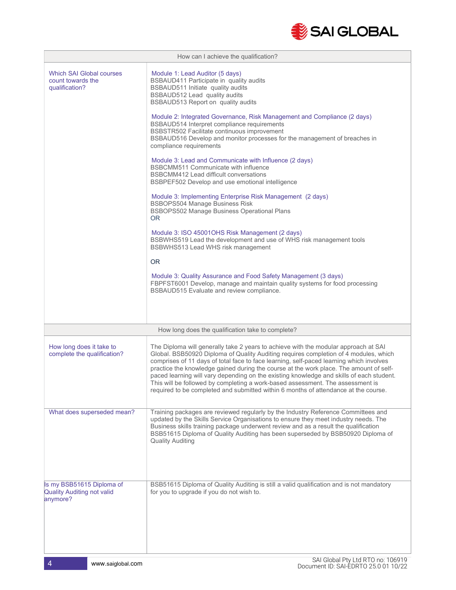

| How can I achieve the qualification?                                       |                                                                                                                                                                                                                                                                                                                                                                                                                                                                                                                                                                                                                                                                                                                                                                                                                                                                                                                                                                                                                                                                                                                                                                                                                                 |
|----------------------------------------------------------------------------|---------------------------------------------------------------------------------------------------------------------------------------------------------------------------------------------------------------------------------------------------------------------------------------------------------------------------------------------------------------------------------------------------------------------------------------------------------------------------------------------------------------------------------------------------------------------------------------------------------------------------------------------------------------------------------------------------------------------------------------------------------------------------------------------------------------------------------------------------------------------------------------------------------------------------------------------------------------------------------------------------------------------------------------------------------------------------------------------------------------------------------------------------------------------------------------------------------------------------------|
| <b>Which SAI Global courses</b><br>count towards the<br>qualification?     | Module 1: Lead Auditor (5 days)<br>BSBAUD411 Participate in quality audits<br>BSBAUD511 Initiate quality audits<br>BSBAUD512 Lead quality audits<br>BSBAUD513 Report on quality audits<br>Module 2: Integrated Governance, Risk Management and Compliance (2 days)<br>BSBAUD514 Interpret compliance requirements<br>BSBSTR502 Facilitate continuous improvement<br>BSBAUD516 Develop and monitor processes for the management of breaches in<br>compliance requirements<br>Module 3: Lead and Communicate with Influence (2 days)<br><b>BSBCMM511 Communicate with influence</b><br>BSBCMM412 Lead difficult conversations<br>BSBPEF502 Develop and use emotional intelligence<br>Module 3: Implementing Enterprise Risk Management (2 days)<br><b>BSBOPS504 Manage Business Risk</b><br><b>BSBOPS502 Manage Business Operational Plans</b><br>OR.<br>Module 3: ISO 450010HS Risk Management (2 days)<br>BSBWHS519 Lead the development and use of WHS risk management tools<br>BSBWHS513 Lead WHS risk management<br><b>OR</b><br>Module 3: Quality Assurance and Food Safety Management (3 days)<br>FBPFST6001 Develop, manage and maintain quality systems for food processing<br>BSBAUD515 Evaluate and review compliance. |
|                                                                            | How long does the qualification take to complete?                                                                                                                                                                                                                                                                                                                                                                                                                                                                                                                                                                                                                                                                                                                                                                                                                                                                                                                                                                                                                                                                                                                                                                               |
| How long does it take to<br>complete the qualification?                    | The Diploma will generally take 2 years to achieve with the modular approach at SAI<br>Global. BSB50920 Diploma of Quality Auditing requires completion of 4 modules, which<br>comprises of 11 days of total face to face learning, self-paced learning which involves<br>practice the knowledge gained during the course at the work place. The amount of self-<br>paced learning will vary depending on the existing knowledge and skills of each student.<br>This will be followed by completing a work-based assessment. The assessment is<br>required to be completed and submitted within 6 months of attendance at the course.                                                                                                                                                                                                                                                                                                                                                                                                                                                                                                                                                                                           |
| What does superseded mean?                                                 | Training packages are reviewed regularly by the Industry Reference Committees and<br>updated by the Skills Service Organisations to ensure they meet industry needs. The<br>Business skills training package underwent review and as a result the qualification<br>BSB51615 Diploma of Quality Auditing has been superseded by BSB50920 Diploma of<br><b>Quality Auditing</b>                                                                                                                                                                                                                                                                                                                                                                                                                                                                                                                                                                                                                                                                                                                                                                                                                                                   |
| Is my BSB51615 Diploma of<br><b>Quality Auditing not valid</b><br>anymore? | BSB51615 Diploma of Quality Auditing is still a valid qualification and is not mandatory<br>for you to upgrade if you do not wish to.                                                                                                                                                                                                                                                                                                                                                                                                                                                                                                                                                                                                                                                                                                                                                                                                                                                                                                                                                                                                                                                                                           |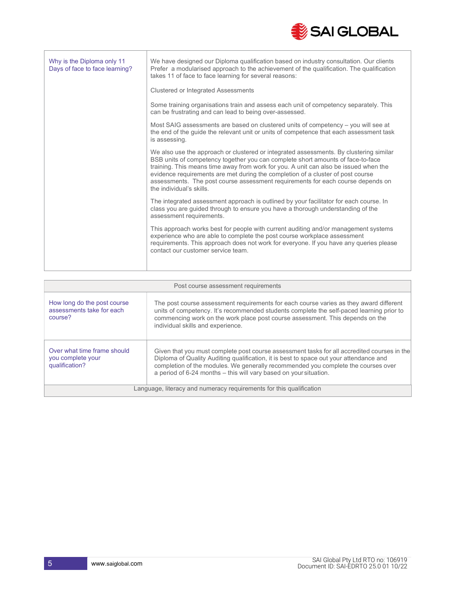

| Why is the Diploma only 11<br>Days of face to face learning? | We have designed our Diploma qualification based on industry consultation. Our clients<br>Prefer a modularised approach to the achievement of the qualification. The qualification<br>takes 11 of face to face learning for several reasons:                                                                                                                                                                                                                        |
|--------------------------------------------------------------|---------------------------------------------------------------------------------------------------------------------------------------------------------------------------------------------------------------------------------------------------------------------------------------------------------------------------------------------------------------------------------------------------------------------------------------------------------------------|
|                                                              | <b>Clustered or Integrated Assessments</b>                                                                                                                                                                                                                                                                                                                                                                                                                          |
|                                                              | Some training organisations train and assess each unit of competency separately. This<br>can be frustrating and can lead to being over-assessed.                                                                                                                                                                                                                                                                                                                    |
|                                                              | Most SAIG assessments are based on clustered units of competency – you will see at<br>the end of the guide the relevant unit or units of competence that each assessment task<br>is assessing.                                                                                                                                                                                                                                                                      |
|                                                              | We also use the approach or clustered or integrated assessments. By clustering similar<br>BSB units of competency together you can complete short amounts of face-to-face<br>training. This means time away from work for you. A unit can also be issued when the<br>evidence requirements are met during the completion of a cluster of post course<br>assessments. The post course assessment requirements for each course depends on<br>the individual's skills. |
|                                                              | The integrated assessment approach is outlined by your facilitator for each course. In<br>class you are guided through to ensure you have a thorough understanding of the<br>assessment requirements.                                                                                                                                                                                                                                                               |
|                                                              | This approach works best for people with current auditing and/or management systems<br>experience who are able to complete the post course workplace assessment<br>requirements. This approach does not work for everyone. If you have any queries please<br>contact our customer service team.                                                                                                                                                                     |
|                                                              |                                                                                                                                                                                                                                                                                                                                                                                                                                                                     |

| Post course assessment requirements                                 |                                                                                                                                                                                                                                                                                                                                                 |
|---------------------------------------------------------------------|-------------------------------------------------------------------------------------------------------------------------------------------------------------------------------------------------------------------------------------------------------------------------------------------------------------------------------------------------|
| How long do the post course<br>assessments take for each<br>course? | The post course assessment requirements for each course varies as they award different<br>units of competency. It's recommended students complete the self-paced learning prior to<br>commencing work on the work place post course assessment. This depends on the<br>individual skills and experience.                                        |
| Over what time frame should<br>you complete your<br>qualification?  | Given that you must complete post course assessment tasks for all accredited courses in the<br>Diploma of Quality Auditing qualification, it is best to space out your attendance and<br>completion of the modules. We generally recommended you complete the courses over<br>a period of 6-24 months - this will vary based on your situation. |
| Language, literacy and numeracy requirements for this qualification |                                                                                                                                                                                                                                                                                                                                                 |